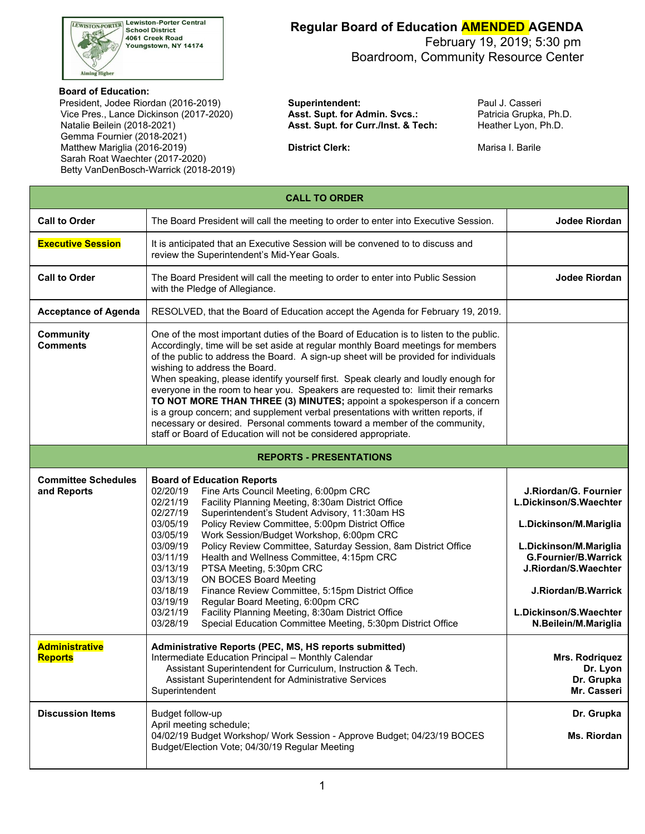

**LEWISTON-PORTER Lewiston-Porter Central School District** 4061 Creek Road **Tool Oreen Road**<br>Youngstown, NY 14174

#### **Regular Board of Education AMENDED AGENDA**

 February 19, 2019; 5:30 pm Boardroom, Community Resource Center

#### **Board of Education:**

President, Jodee Riordan (2016-2019) **Superintendent:** President Paul J. Casseri Vice Pres., Lance Dickinson (2017-2020) **Asst. Supt. for Admin. Svcs.:** Patricia Grupka, Ph.D. Natalie Beilein (2018-2021) **Asst. Supt. for Curr./Inst. & Tech:** Heather Lyon, Ph.D. Gemma Fournier (2018-2021) Matthew Mariglia (2016-2019) **District Clerk: District Clerk:** Marisa I. Barile Sarah Roat Waechter (2017-2020) Betty VanDenBosch-Warrick (2018-2019)

| <b>CALL TO ORDER</b>                      |                                                                                                                                                                                                                                                                                                                                                                                                                                                                                                                                                                                                                                                                                                                                                                                                                                      |                                                                                                                                                                                                                                     |  |  |  |  |  |  |
|-------------------------------------------|--------------------------------------------------------------------------------------------------------------------------------------------------------------------------------------------------------------------------------------------------------------------------------------------------------------------------------------------------------------------------------------------------------------------------------------------------------------------------------------------------------------------------------------------------------------------------------------------------------------------------------------------------------------------------------------------------------------------------------------------------------------------------------------------------------------------------------------|-------------------------------------------------------------------------------------------------------------------------------------------------------------------------------------------------------------------------------------|--|--|--|--|--|--|
| <b>Call to Order</b>                      | The Board President will call the meeting to order to enter into Executive Session.                                                                                                                                                                                                                                                                                                                                                                                                                                                                                                                                                                                                                                                                                                                                                  | Jodee Riordan                                                                                                                                                                                                                       |  |  |  |  |  |  |
| <b>Executive Session</b>                  | It is anticipated that an Executive Session will be convened to to discuss and<br>review the Superintendent's Mid-Year Goals.                                                                                                                                                                                                                                                                                                                                                                                                                                                                                                                                                                                                                                                                                                        |                                                                                                                                                                                                                                     |  |  |  |  |  |  |
| <b>Call to Order</b>                      | The Board President will call the meeting to order to enter into Public Session<br>with the Pledge of Allegiance.                                                                                                                                                                                                                                                                                                                                                                                                                                                                                                                                                                                                                                                                                                                    | Jodee Riordan                                                                                                                                                                                                                       |  |  |  |  |  |  |
| <b>Acceptance of Agenda</b>               | RESOLVED, that the Board of Education accept the Agenda for February 19, 2019.                                                                                                                                                                                                                                                                                                                                                                                                                                                                                                                                                                                                                                                                                                                                                       |                                                                                                                                                                                                                                     |  |  |  |  |  |  |
| <b>Community</b><br><b>Comments</b>       | One of the most important duties of the Board of Education is to listen to the public.<br>Accordingly, time will be set aside at regular monthly Board meetings for members<br>of the public to address the Board. A sign-up sheet will be provided for individuals<br>wishing to address the Board.<br>When speaking, please identify yourself first. Speak clearly and loudly enough for<br>everyone in the room to hear you. Speakers are requested to: limit their remarks<br>TO NOT MORE THAN THREE (3) MINUTES; appoint a spokesperson if a concern<br>is a group concern; and supplement verbal presentations with written reports, if<br>necessary or desired. Personal comments toward a member of the community,<br>staff or Board of Education will not be considered appropriate.                                        |                                                                                                                                                                                                                                     |  |  |  |  |  |  |
|                                           | <b>REPORTS - PRESENTATIONS</b>                                                                                                                                                                                                                                                                                                                                                                                                                                                                                                                                                                                                                                                                                                                                                                                                       |                                                                                                                                                                                                                                     |  |  |  |  |  |  |
| <b>Committee Schedules</b><br>and Reports | <b>Board of Education Reports</b><br>Fine Arts Council Meeting, 6:00pm CRC<br>02/20/19<br>Facility Planning Meeting, 8:30am District Office<br>02/21/19<br>Superintendent's Student Advisory, 11:30am HS<br>02/27/19<br>03/05/19<br>Policy Review Committee, 5:00pm District Office<br>Work Session/Budget Workshop, 6:00pm CRC<br>03/05/19<br>03/09/19<br>Policy Review Committee, Saturday Session, 8am District Office<br>03/11/19<br>Health and Wellness Committee, 4:15pm CRC<br>03/13/19<br>PTSA Meeting, 5:30pm CRC<br>03/13/19<br><b>ON BOCES Board Meeting</b><br>03/18/19<br>Finance Review Committee, 5:15pm District Office<br>Regular Board Meeting, 6:00pm CRC<br>03/19/19<br>Facility Planning Meeting, 8:30am District Office<br>03/21/19<br>03/28/19<br>Special Education Committee Meeting, 5:30pm District Office | J.Riordan/G. Fournier<br>L.Dickinson/S.Waechter<br>L.Dickinson/M.Mariglia<br>L.Dickinson/M.Mariglia<br><b>G.Fournier/B.Warrick</b><br>J.Riordan/S.Waechter<br>J.Riordan/B.Warrick<br>L.Dickinson/S.Waechter<br>N.Beilein/M.Mariglia |  |  |  |  |  |  |
| <b>Administrative</b><br><b>Reports</b>   | Administrative Reports (PEC, MS, HS reports submitted)<br>Intermediate Education Principal - Monthly Calendar<br>Assistant Superintendent for Curriculum, Instruction & Tech.<br>Assistant Superintendent for Administrative Services<br>Superintendent                                                                                                                                                                                                                                                                                                                                                                                                                                                                                                                                                                              | Mrs. Rodriquez<br>Dr. Lyon<br>Dr. Grupka<br>Mr. Casseri                                                                                                                                                                             |  |  |  |  |  |  |
| <b>Discussion Items</b>                   | Budget follow-up<br>April meeting schedule;<br>04/02/19 Budget Workshop/ Work Session - Approve Budget; 04/23/19 BOCES<br>Budget/Election Vote; 04/30/19 Regular Meeting                                                                                                                                                                                                                                                                                                                                                                                                                                                                                                                                                                                                                                                             | Dr. Grupka<br>Ms. Riordan                                                                                                                                                                                                           |  |  |  |  |  |  |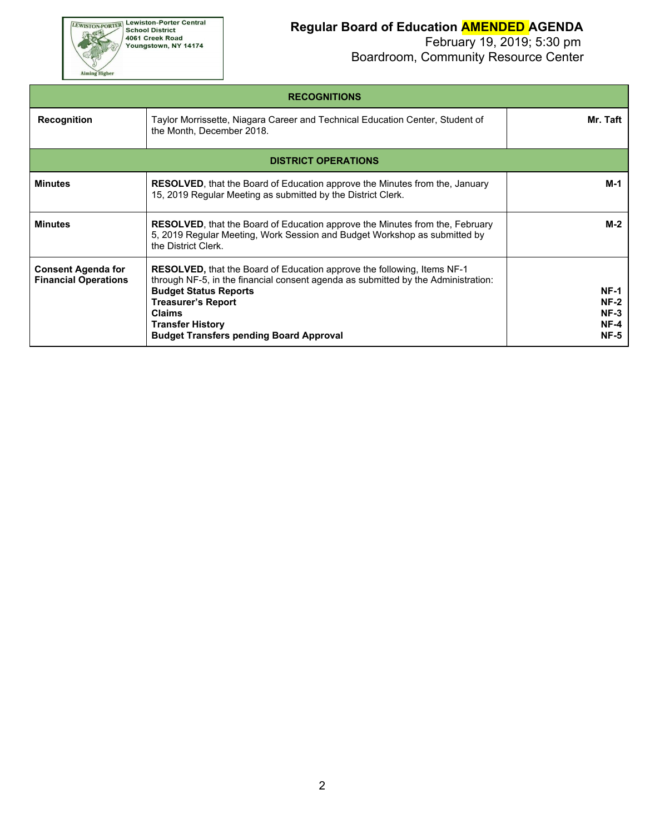**EWISTON-PORTER Lewiston-Porter Central**<br>School District<br>4061 Creek Road<br>Youngstown, NY 14174

Aiming Higher

## **Regular Board of Education AMENDED AGENDA**

| <b>RECOGNITIONS</b>                                      |                                                                                                                                                                                                                                                                                                                                |                                                          |  |  |  |  |  |
|----------------------------------------------------------|--------------------------------------------------------------------------------------------------------------------------------------------------------------------------------------------------------------------------------------------------------------------------------------------------------------------------------|----------------------------------------------------------|--|--|--|--|--|
| <b>Recognition</b>                                       | Mr. Taft                                                                                                                                                                                                                                                                                                                       |                                                          |  |  |  |  |  |
|                                                          | <b>DISTRICT OPERATIONS</b>                                                                                                                                                                                                                                                                                                     |                                                          |  |  |  |  |  |
| <b>Minutes</b>                                           | <b>RESOLVED</b> , that the Board of Education approve the Minutes from the, January<br>15, 2019 Regular Meeting as submitted by the District Clerk.                                                                                                                                                                            | M-1                                                      |  |  |  |  |  |
| <b>Minutes</b>                                           | <b>RESOLVED</b> , that the Board of Education approve the Minutes from the, February<br>5, 2019 Regular Meeting, Work Session and Budget Workshop as submitted by<br>the District Clerk.                                                                                                                                       | $M-2$                                                    |  |  |  |  |  |
| <b>Consent Agenda for</b><br><b>Financial Operations</b> | <b>RESOLVED, that the Board of Education approve the following, Items NF-1</b><br>through NF-5, in the financial consent agenda as submitted by the Administration:<br><b>Budget Status Reports</b><br><b>Treasurer's Report</b><br><b>Claims</b><br><b>Transfer History</b><br><b>Budget Transfers pending Board Approval</b> | <b>NF-1</b><br>$NF-2$<br>$NF-3$<br>$NF-4$<br><b>NF-5</b> |  |  |  |  |  |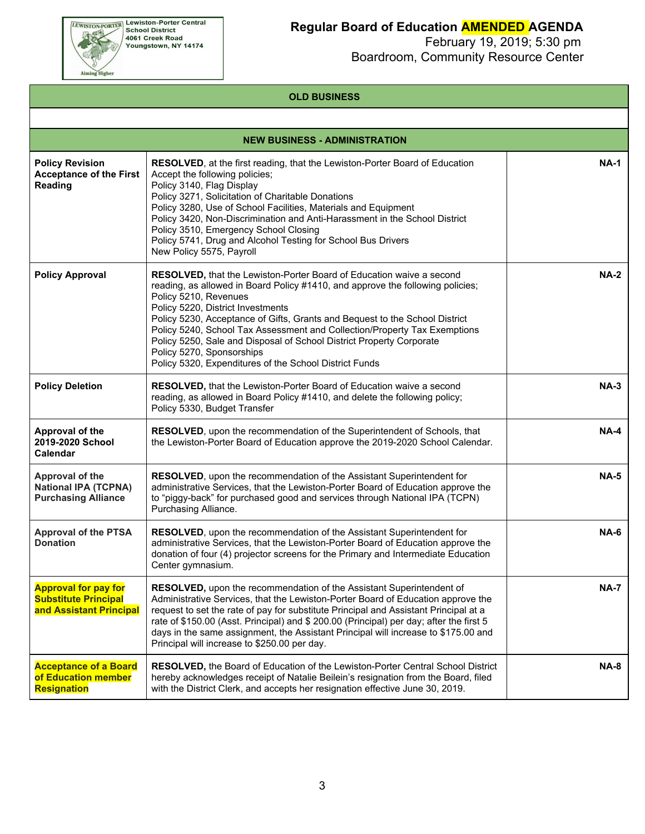

## **Regular Board of Education AMENDED AGENDA**

 February 19, 2019; 5:30 pm Boardroom, Community Resource Center

#### **OLD BUSINESS**

| <b>NEW BUSINESS - ADMINISTRATION</b>                                                  |                                                                                                                                                                                                                                                                                                                                                                                                                                                                                                                                                 |             |  |  |  |  |  |  |
|---------------------------------------------------------------------------------------|-------------------------------------------------------------------------------------------------------------------------------------------------------------------------------------------------------------------------------------------------------------------------------------------------------------------------------------------------------------------------------------------------------------------------------------------------------------------------------------------------------------------------------------------------|-------------|--|--|--|--|--|--|
| <b>Policy Revision</b><br><b>Acceptance of the First</b><br>Reading                   | <b>RESOLVED</b> , at the first reading, that the Lewiston-Porter Board of Education<br>Accept the following policies;<br>Policy 3140, Flag Display<br>Policy 3271, Solicitation of Charitable Donations<br>Policy 3280, Use of School Facilities, Materials and Equipment<br>Policy 3420, Non-Discrimination and Anti-Harassment in the School District<br>Policy 3510, Emergency School Closing<br>Policy 5741, Drug and Alcohol Testing for School Bus Drivers<br>New Policy 5575, Payroll                                                    | <b>NA-1</b> |  |  |  |  |  |  |
| <b>Policy Approval</b>                                                                | RESOLVED, that the Lewiston-Porter Board of Education waive a second<br>reading, as allowed in Board Policy #1410, and approve the following policies;<br>Policy 5210, Revenues<br>Policy 5220, District Investments<br>Policy 5230, Acceptance of Gifts, Grants and Bequest to the School District<br>Policy 5240, School Tax Assessment and Collection/Property Tax Exemptions<br>Policy 5250, Sale and Disposal of School District Property Corporate<br>Policy 5270, Sponsorships<br>Policy 5320, Expenditures of the School District Funds | <b>NA-2</b> |  |  |  |  |  |  |
| <b>Policy Deletion</b>                                                                | RESOLVED, that the Lewiston-Porter Board of Education waive a second<br>reading, as allowed in Board Policy #1410, and delete the following policy;<br>Policy 5330, Budget Transfer                                                                                                                                                                                                                                                                                                                                                             | $NA-3$      |  |  |  |  |  |  |
| Approval of the<br>2019-2020 School<br><b>Calendar</b>                                | RESOLVED, upon the recommendation of the Superintendent of Schools, that<br>the Lewiston-Porter Board of Education approve the 2019-2020 School Calendar.                                                                                                                                                                                                                                                                                                                                                                                       | $NA-4$      |  |  |  |  |  |  |
| Approval of the<br><b>National IPA (TCPNA)</b><br><b>Purchasing Alliance</b>          | RESOLVED, upon the recommendation of the Assistant Superintendent for<br>administrative Services, that the Lewiston-Porter Board of Education approve the<br>to "piggy-back" for purchased good and services through National IPA (TCPN)<br>Purchasing Alliance.                                                                                                                                                                                                                                                                                | <b>NA-5</b> |  |  |  |  |  |  |
| <b>Approval of the PTSA</b><br><b>Donation</b>                                        | RESOLVED, upon the recommendation of the Assistant Superintendent for<br>administrative Services, that the Lewiston-Porter Board of Education approve the<br>donation of four (4) projector screens for the Primary and Intermediate Education<br>Center gymnasium.                                                                                                                                                                                                                                                                             | <b>NA-6</b> |  |  |  |  |  |  |
| <b>Approval for pay for</b><br><b>Substitute Principal</b><br>and Assistant Principal | RESOLVED, upon the recommendation of the Assistant Superintendent of<br>Administrative Services, that the Lewiston-Porter Board of Education approve the<br>request to set the rate of pay for substitute Principal and Assistant Principal at a<br>rate of \$150.00 (Asst. Principal) and \$200.00 (Principal) per day; after the first 5<br>days in the same assignment, the Assistant Principal will increase to \$175.00 and<br>Principal will increase to \$250.00 per day.                                                                | <b>NA-7</b> |  |  |  |  |  |  |
| <b>Acceptance of a Board</b><br>of Education member<br><b>Resignation</b>             | RESOLVED, the Board of Education of the Lewiston-Porter Central School District<br>hereby acknowledges receipt of Natalie Beilein's resignation from the Board, filed<br>with the District Clerk, and accepts her resignation effective June 30, 2019.                                                                                                                                                                                                                                                                                          | <b>NA-8</b> |  |  |  |  |  |  |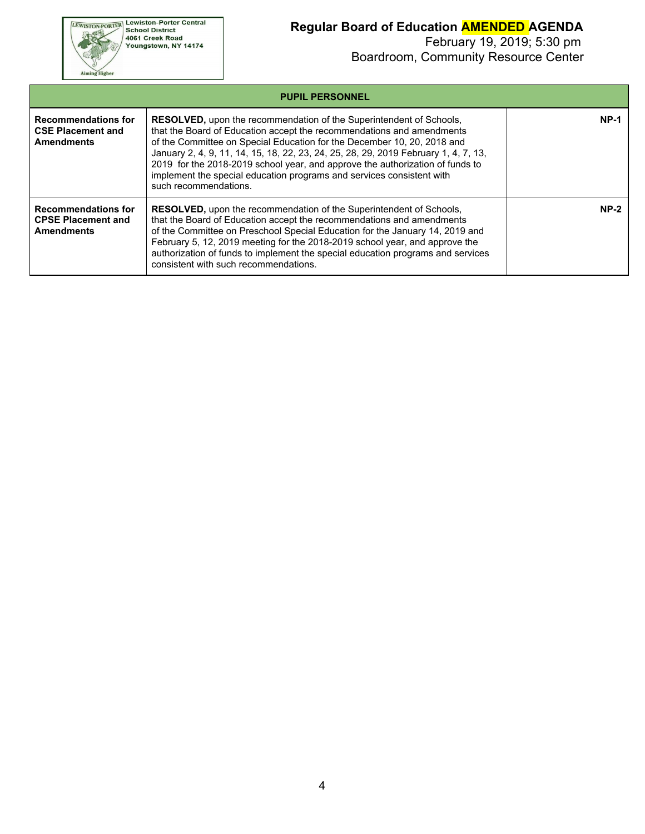**EWISTON-PORTER Lewiston-Porter Central**<br>School District<br>4061 Creek Road<br>Youngstown, NY 14174

Aiming Higher

## **Regular Board of Education AMENDED AGENDA**

| <b>PUPIL PERSONNEL</b>                                                       |                                                                                                                                                                                                                                                                                                                                                                                                                                                                                                          |        |  |  |  |  |  |
|------------------------------------------------------------------------------|----------------------------------------------------------------------------------------------------------------------------------------------------------------------------------------------------------------------------------------------------------------------------------------------------------------------------------------------------------------------------------------------------------------------------------------------------------------------------------------------------------|--------|--|--|--|--|--|
| <b>Recommendations for</b><br><b>CSE Placement and</b><br><b>Amendments</b>  | <b>RESOLVED, upon the recommendation of the Superintendent of Schools,</b><br>that the Board of Education accept the recommendations and amendments<br>of the Committee on Special Education for the December 10, 20, 2018 and<br>January 2, 4, 9, 11, 14, 15, 18, 22, 23, 24, 25, 28, 29, 2019 February 1, 4, 7, 13,<br>2019 for the 2018-2019 school year, and approve the authorization of funds to<br>implement the special education programs and services consistent with<br>such recommendations. | $NP-1$ |  |  |  |  |  |
| <b>Recommendations for</b><br><b>CPSE Placement and</b><br><b>Amendments</b> | <b>RESOLVED, upon the recommendation of the Superintendent of Schools,</b><br>that the Board of Education accept the recommendations and amendments<br>of the Committee on Preschool Special Education for the January 14, 2019 and<br>February 5, 12, 2019 meeting for the 2018-2019 school year, and approve the<br>authorization of funds to implement the special education programs and services<br>consistent with such recommendations.                                                           | $NP-2$ |  |  |  |  |  |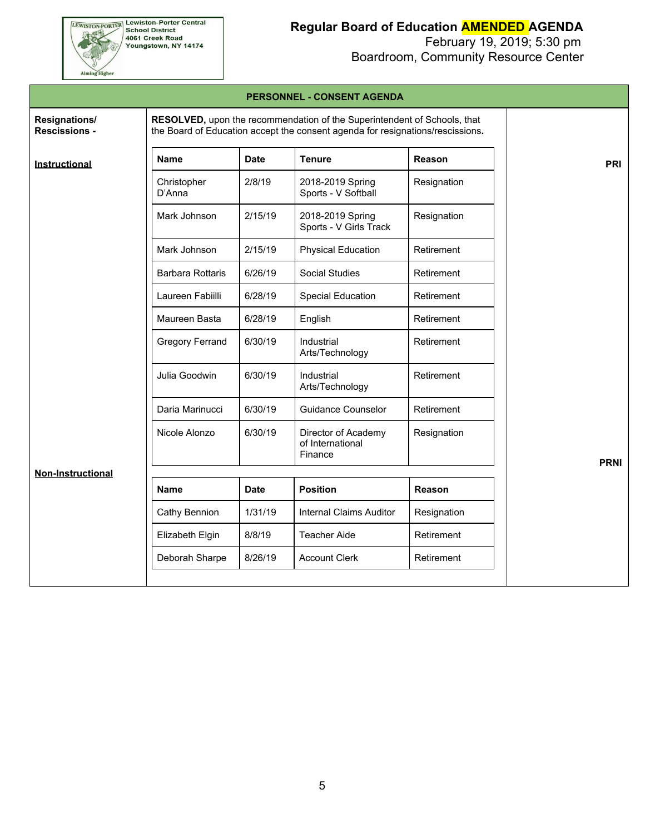**EWISTON-PORTER Lewiston-Porter Central**<br>School District<br>4061 Creek Road<br>Youngstown, NY 14174

## **Regular Board of Education AMENDED AGENDA**

February 19, 2019; 5:30 pm

Aiming Higher

# Boardroom, Community Resource Center

|                                       |                                                                                                                                                            |             | PERSUNNEL - CUNSENT AGENDA                         |             |             |  |  |  |  |
|---------------------------------------|------------------------------------------------------------------------------------------------------------------------------------------------------------|-------------|----------------------------------------------------|-------------|-------------|--|--|--|--|
| Resignations/<br><b>Rescissions -</b> | RESOLVED, upon the recommendation of the Superintendent of Schools, that<br>the Board of Education accept the consent agenda for resignations/rescissions. |             |                                                    |             |             |  |  |  |  |
| Instructional                         | <b>Name</b>                                                                                                                                                | <b>Date</b> | <b>Tenure</b>                                      | Reason      | <b>PRI</b>  |  |  |  |  |
|                                       | Christopher<br>D'Anna                                                                                                                                      | 2/8/19      | 2018-2019 Spring<br>Sports - V Softball            | Resignation |             |  |  |  |  |
|                                       | Mark Johnson                                                                                                                                               | 2/15/19     | 2018-2019 Spring<br>Sports - V Girls Track         | Resignation |             |  |  |  |  |
|                                       | Mark Johnson                                                                                                                                               | 2/15/19     | <b>Physical Education</b>                          | Retirement  |             |  |  |  |  |
|                                       | <b>Barbara Rottaris</b>                                                                                                                                    | 6/26/19     | Social Studies                                     | Retirement  |             |  |  |  |  |
|                                       | Laureen Fabiilli                                                                                                                                           | 6/28/19     | <b>Special Education</b>                           | Retirement  |             |  |  |  |  |
|                                       | Maureen Basta                                                                                                                                              | 6/28/19     | English                                            | Retirement  |             |  |  |  |  |
|                                       | <b>Gregory Ferrand</b>                                                                                                                                     | 6/30/19     | Industrial<br>Arts/Technology                      | Retirement  |             |  |  |  |  |
|                                       | Julia Goodwin                                                                                                                                              | 6/30/19     | Industrial<br>Arts/Technology                      | Retirement  |             |  |  |  |  |
|                                       | Daria Marinucci                                                                                                                                            | 6/30/19     | <b>Guidance Counselor</b>                          | Retirement  |             |  |  |  |  |
|                                       | Nicole Alonzo                                                                                                                                              | 6/30/19     | Director of Academy<br>of International<br>Finance | Resignation | <b>PRNI</b> |  |  |  |  |
| <b>Non-Instructional</b>              |                                                                                                                                                            |             |                                                    |             |             |  |  |  |  |
|                                       | <b>Name</b>                                                                                                                                                | <b>Date</b> | <b>Position</b>                                    | Reason      |             |  |  |  |  |
|                                       | Cathy Bennion                                                                                                                                              | 1/31/19     | <b>Internal Claims Auditor</b>                     | Resignation |             |  |  |  |  |
|                                       | Elizabeth Elgin                                                                                                                                            | 8/8/19      | <b>Teacher Aide</b>                                | Retirement  |             |  |  |  |  |
|                                       | Deborah Sharpe                                                                                                                                             | 8/26/19     | <b>Account Clerk</b>                               | Retirement  |             |  |  |  |  |
|                                       |                                                                                                                                                            |             |                                                    |             |             |  |  |  |  |

**PERSONNEL - CONSENT AGENDA**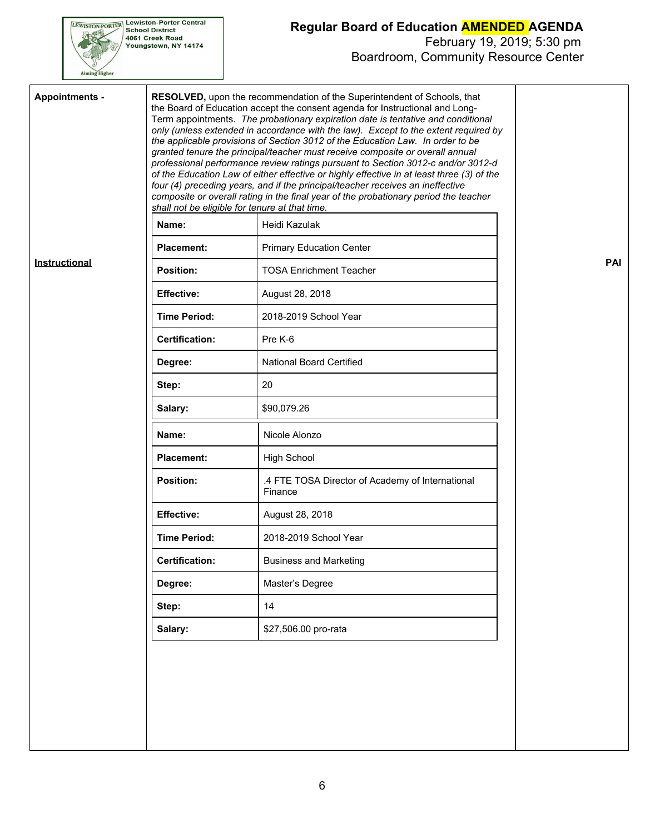

### **Regular Board of Education AMENDED AGENDA**

| <b>Appointments -</b> | RESOLVED, upon the recommendation of the Superintendent of Schools, that<br>the Board of Education accept the consent agenda for Instructional and Long-<br>Term appointments. The probationary expiration date is tentative and conditional<br>only (unless extended in accordance with the law). Except to the extent required by<br>the applicable provisions of Section 3012 of the Education Law. In order to be<br>granted tenure the principal/teacher must receive composite or overall annual<br>professional performance review ratings pursuant to Section 3012-c and/or 3012-d<br>of the Education Law of either effective or highly effective in at least three (3) of the<br>four (4) preceding years, and if the principal/teacher receives an ineffective<br>composite or overall rating in the final year of the probationary period the teacher<br>shall not be eligible for tenure at that time. |                                                             |            |
|-----------------------|---------------------------------------------------------------------------------------------------------------------------------------------------------------------------------------------------------------------------------------------------------------------------------------------------------------------------------------------------------------------------------------------------------------------------------------------------------------------------------------------------------------------------------------------------------------------------------------------------------------------------------------------------------------------------------------------------------------------------------------------------------------------------------------------------------------------------------------------------------------------------------------------------------------------|-------------------------------------------------------------|------------|
|                       | Name:                                                                                                                                                                                                                                                                                                                                                                                                                                                                                                                                                                                                                                                                                                                                                                                                                                                                                                               | Heidi Kazulak                                               |            |
|                       | <b>Placement:</b>                                                                                                                                                                                                                                                                                                                                                                                                                                                                                                                                                                                                                                                                                                                                                                                                                                                                                                   | <b>Primary Education Center</b>                             |            |
| Instructional         | <b>Position:</b>                                                                                                                                                                                                                                                                                                                                                                                                                                                                                                                                                                                                                                                                                                                                                                                                                                                                                                    | <b>TOSA Enrichment Teacher</b>                              | <b>PAI</b> |
|                       | <b>Effective:</b>                                                                                                                                                                                                                                                                                                                                                                                                                                                                                                                                                                                                                                                                                                                                                                                                                                                                                                   | August 28, 2018                                             |            |
|                       | <b>Time Period:</b>                                                                                                                                                                                                                                                                                                                                                                                                                                                                                                                                                                                                                                                                                                                                                                                                                                                                                                 | 2018-2019 School Year                                       |            |
|                       | <b>Certification:</b>                                                                                                                                                                                                                                                                                                                                                                                                                                                                                                                                                                                                                                                                                                                                                                                                                                                                                               | Pre K-6                                                     |            |
|                       | Degree:                                                                                                                                                                                                                                                                                                                                                                                                                                                                                                                                                                                                                                                                                                                                                                                                                                                                                                             | <b>National Board Certified</b>                             |            |
|                       | Step:                                                                                                                                                                                                                                                                                                                                                                                                                                                                                                                                                                                                                                                                                                                                                                                                                                                                                                               | 20                                                          |            |
|                       | Salary:                                                                                                                                                                                                                                                                                                                                                                                                                                                                                                                                                                                                                                                                                                                                                                                                                                                                                                             | \$90,079.26                                                 |            |
|                       | Name:                                                                                                                                                                                                                                                                                                                                                                                                                                                                                                                                                                                                                                                                                                                                                                                                                                                                                                               | Nicole Alonzo                                               |            |
|                       | <b>Placement:</b>                                                                                                                                                                                                                                                                                                                                                                                                                                                                                                                                                                                                                                                                                                                                                                                                                                                                                                   | <b>High School</b>                                          |            |
|                       | <b>Position:</b>                                                                                                                                                                                                                                                                                                                                                                                                                                                                                                                                                                                                                                                                                                                                                                                                                                                                                                    | .4 FTE TOSA Director of Academy of International<br>Finance |            |
|                       | <b>Effective:</b>                                                                                                                                                                                                                                                                                                                                                                                                                                                                                                                                                                                                                                                                                                                                                                                                                                                                                                   | August 28, 2018                                             |            |
|                       | <b>Time Period:</b>                                                                                                                                                                                                                                                                                                                                                                                                                                                                                                                                                                                                                                                                                                                                                                                                                                                                                                 | 2018-2019 School Year                                       |            |
|                       | <b>Certification:</b>                                                                                                                                                                                                                                                                                                                                                                                                                                                                                                                                                                                                                                                                                                                                                                                                                                                                                               | <b>Business and Marketing</b>                               |            |
|                       | Degree:                                                                                                                                                                                                                                                                                                                                                                                                                                                                                                                                                                                                                                                                                                                                                                                                                                                                                                             | Master's Degree                                             |            |
|                       | Step:                                                                                                                                                                                                                                                                                                                                                                                                                                                                                                                                                                                                                                                                                                                                                                                                                                                                                                               | 14                                                          |            |
|                       | Salary:                                                                                                                                                                                                                                                                                                                                                                                                                                                                                                                                                                                                                                                                                                                                                                                                                                                                                                             | \$27,506.00 pro-rata                                        |            |
|                       |                                                                                                                                                                                                                                                                                                                                                                                                                                                                                                                                                                                                                                                                                                                                                                                                                                                                                                                     |                                                             |            |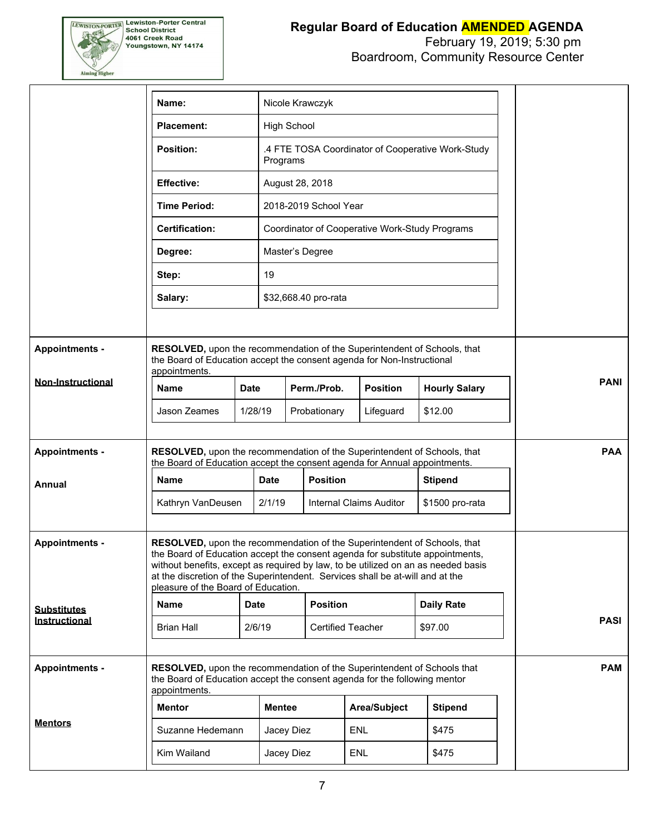

#### **Regular Board of Education AMENDED AGENDA** February 19, 2019; 5:30 pm

# Boardroom, Community Resource Center

|                          | Nicole Krawczyk<br>Name:                                                                                                                                                                                                                                                                                                                                               |                                                                                                                                                      |               |                                                               |                          |                 |                                                |  |             |  |
|--------------------------|------------------------------------------------------------------------------------------------------------------------------------------------------------------------------------------------------------------------------------------------------------------------------------------------------------------------------------------------------------------------|------------------------------------------------------------------------------------------------------------------------------------------------------|---------------|---------------------------------------------------------------|--------------------------|-----------------|------------------------------------------------|--|-------------|--|
|                          | <b>Placement:</b>                                                                                                                                                                                                                                                                                                                                                      |                                                                                                                                                      |               | <b>High School</b>                                            |                          |                 |                                                |  |             |  |
|                          | <b>Position:</b>                                                                                                                                                                                                                                                                                                                                                       |                                                                                                                                                      |               | .4 FTE TOSA Coordinator of Cooperative Work-Study<br>Programs |                          |                 |                                                |  |             |  |
|                          | <b>Effective:</b>                                                                                                                                                                                                                                                                                                                                                      |                                                                                                                                                      |               | August 28, 2018                                               |                          |                 |                                                |  |             |  |
|                          | <b>Time Period:</b>                                                                                                                                                                                                                                                                                                                                                    |                                                                                                                                                      |               | 2018-2019 School Year                                         |                          |                 |                                                |  |             |  |
|                          | <b>Certification:</b>                                                                                                                                                                                                                                                                                                                                                  |                                                                                                                                                      |               |                                                               |                          |                 | Coordinator of Cooperative Work-Study Programs |  |             |  |
|                          | Degree:                                                                                                                                                                                                                                                                                                                                                                |                                                                                                                                                      |               | Master's Degree                                               |                          |                 |                                                |  |             |  |
|                          | Step:                                                                                                                                                                                                                                                                                                                                                                  |                                                                                                                                                      | 19            |                                                               |                          |                 |                                                |  |             |  |
|                          | Salary:                                                                                                                                                                                                                                                                                                                                                                |                                                                                                                                                      |               | \$32,668.40 pro-rata                                          |                          |                 |                                                |  |             |  |
|                          |                                                                                                                                                                                                                                                                                                                                                                        |                                                                                                                                                      |               |                                                               |                          |                 |                                                |  |             |  |
| <b>Appointments -</b>    | RESOLVED, upon the recommendation of the Superintendent of Schools, that<br>the Board of Education accept the consent agenda for Non-Instructional<br>appointments.                                                                                                                                                                                                    |                                                                                                                                                      |               |                                                               |                          |                 |                                                |  |             |  |
| <b>Non-Instructional</b> | <b>Name</b>                                                                                                                                                                                                                                                                                                                                                            | <b>Date</b>                                                                                                                                          |               | Perm./Prob.                                                   |                          | <b>Position</b> | <b>Hourly Salary</b>                           |  | <b>PANI</b> |  |
|                          | Jason Zeames                                                                                                                                                                                                                                                                                                                                                           | 1/28/19                                                                                                                                              |               | Probationary                                                  |                          | Lifeguard       | \$12.00                                        |  |             |  |
|                          |                                                                                                                                                                                                                                                                                                                                                                        |                                                                                                                                                      |               |                                                               |                          |                 |                                                |  |             |  |
| <b>Appointments -</b>    | RESOLVED, upon the recommendation of the Superintendent of Schools, that<br>the Board of Education accept the consent agenda for Annual appointments.                                                                                                                                                                                                                  |                                                                                                                                                      |               |                                                               |                          |                 |                                                |  | <b>PAA</b>  |  |
| Annual                   | <b>Name</b>                                                                                                                                                                                                                                                                                                                                                            |                                                                                                                                                      | <b>Date</b>   | <b>Position</b>                                               |                          |                 | <b>Stipend</b>                                 |  |             |  |
|                          | Kathryn VanDeusen                                                                                                                                                                                                                                                                                                                                                      | 2/1/19                                                                                                                                               |               | <b>Internal Claims Auditor</b>                                |                          |                 | \$1500 pro-rata                                |  |             |  |
|                          |                                                                                                                                                                                                                                                                                                                                                                        |                                                                                                                                                      |               |                                                               |                          |                 |                                                |  |             |  |
| <b>Appointments -</b>    | RESOLVED, upon the recommendation of the Superintendent of Schools, that<br>the Board of Education accept the consent agenda for substitute appointments,<br>without benefits, except as required by law, to be utilized on an as needed basis<br>at the discretion of the Superintendent. Services shall be at-will and at the<br>pleasure of the Board of Education. |                                                                                                                                                      |               |                                                               |                          |                 |                                                |  |             |  |
| <b>Substitutes</b>       | <b>Name</b>                                                                                                                                                                                                                                                                                                                                                            | <b>Date</b>                                                                                                                                          |               | <b>Position</b>                                               |                          |                 | <b>Daily Rate</b>                              |  |             |  |
| Instructional            | <b>Brian Hall</b>                                                                                                                                                                                                                                                                                                                                                      |                                                                                                                                                      | 2/6/19        |                                                               | <b>Certified Teacher</b> |                 | \$97.00                                        |  | <b>PASI</b> |  |
| <b>Appointments -</b>    | appointments.                                                                                                                                                                                                                                                                                                                                                          | RESOLVED, upon the recommendation of the Superintendent of Schools that<br>the Board of Education accept the consent agenda for the following mentor |               |                                                               |                          |                 |                                                |  | <b>PAM</b>  |  |
|                          | <b>Mentor</b>                                                                                                                                                                                                                                                                                                                                                          |                                                                                                                                                      | <b>Mentee</b> |                                                               |                          | Area/Subject    | <b>Stipend</b>                                 |  |             |  |
| <b>Mentors</b>           | Suzanne Hedemann                                                                                                                                                                                                                                                                                                                                                       |                                                                                                                                                      | Jacey Diez    |                                                               | ENL                      |                 | \$475                                          |  |             |  |
|                          | Kim Wailand                                                                                                                                                                                                                                                                                                                                                            |                                                                                                                                                      | Jacey Diez    |                                                               | <b>ENL</b>               |                 | \$475                                          |  |             |  |
|                          |                                                                                                                                                                                                                                                                                                                                                                        |                                                                                                                                                      |               |                                                               |                          |                 |                                                |  |             |  |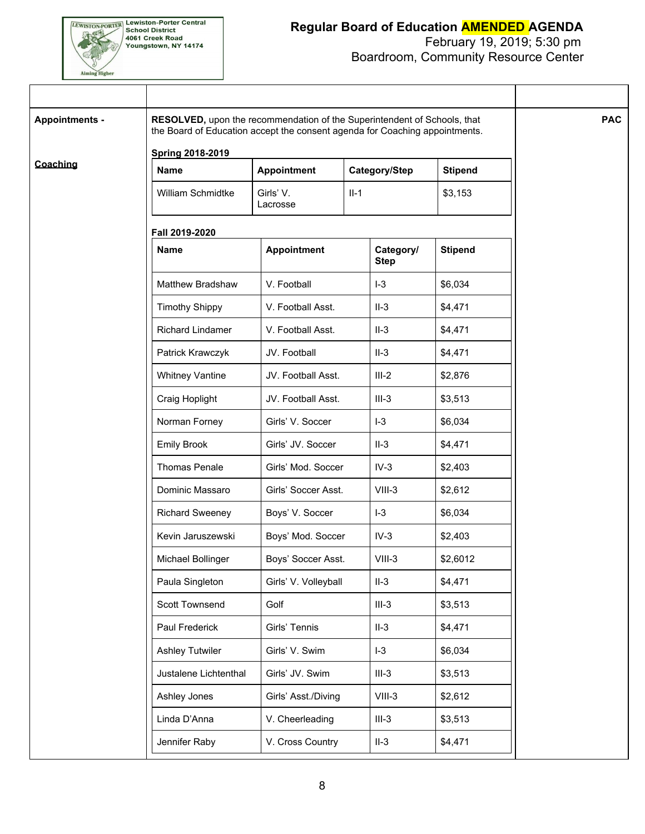

### **Regular Board of Education AMENDED AGENDA**

## February 19, 2019; 5:30 pm

Boardroom, Community Resource Center

| <b>Appointments -</b> | RESOLVED, upon the recommendation of the Superintendent of Schools, that<br>the Board of Education accept the consent agenda for Coaching appointments. |                       |        |                          |                | <b>PAC</b> |
|-----------------------|---------------------------------------------------------------------------------------------------------------------------------------------------------|-----------------------|--------|--------------------------|----------------|------------|
|                       | <b>Spring 2018-2019</b>                                                                                                                                 |                       |        |                          |                |            |
| Coaching              | <b>Name</b>                                                                                                                                             | Appointment           |        | Category/Step            | <b>Stipend</b> |            |
|                       | William Schmidtke                                                                                                                                       | Girls' V.<br>Lacrosse | $II-1$ |                          | \$3,153        |            |
|                       | Fall 2019-2020                                                                                                                                          |                       |        |                          |                |            |
|                       | <b>Name</b>                                                                                                                                             | <b>Appointment</b>    |        | Category/<br><b>Step</b> | <b>Stipend</b> |            |
|                       | Matthew Bradshaw                                                                                                                                        | V. Football           |        | $I-3$                    | \$6,034        |            |
|                       | <b>Timothy Shippy</b>                                                                                                                                   | V. Football Asst.     |        | $II-3$                   | \$4,471        |            |
|                       | Richard Lindamer                                                                                                                                        | V. Football Asst.     |        | $II-3$                   | \$4,471        |            |
|                       | Patrick Krawczyk                                                                                                                                        | JV. Football          |        | $II-3$                   | \$4,471        |            |
|                       | <b>Whitney Vantine</b>                                                                                                                                  | JV. Football Asst.    |        | $III-2$                  | \$2,876        |            |
|                       | Craig Hoplight                                                                                                                                          | JV. Football Asst.    |        | $III-3$                  | \$3,513        |            |
|                       | Norman Forney                                                                                                                                           | Girls' V. Soccer      |        | $I-3$                    | \$6,034        |            |
|                       | <b>Emily Brook</b>                                                                                                                                      | Girls' JV. Soccer     |        | $II-3$                   | \$4,471        |            |
|                       | Thomas Penale                                                                                                                                           | Girls' Mod. Soccer    |        | $IV-3$                   | \$2,403        |            |
|                       | Dominic Massaro                                                                                                                                         | Girls' Soccer Asst.   |        | $VIII-3$                 | \$2,612        |            |
|                       | <b>Richard Sweeney</b>                                                                                                                                  | Boys' V. Soccer       |        | $I-3$                    | \$6,034        |            |
|                       | Kevin Jaruszewski                                                                                                                                       | Boys' Mod. Soccer     |        | $IV-3$                   | \$2,403        |            |
|                       | Michael Bollinger                                                                                                                                       | Boys' Soccer Asst.    |        | $VIII-3$                 | \$2,6012       |            |
|                       | Paula Singleton                                                                                                                                         | Girls' V. Volleyball  |        | $II-3$                   | \$4,471        |            |
|                       | Scott Townsend                                                                                                                                          | Golf                  |        | $III-3$                  | \$3,513        |            |
|                       | Paul Frederick                                                                                                                                          | Girls' Tennis         |        | $II-3$                   | \$4,471        |            |
|                       | <b>Ashley Tutwiler</b>                                                                                                                                  | Girls' V. Swim        |        | $I-3$                    | \$6,034        |            |
|                       | Justalene Lichtenthal                                                                                                                                   | Girls' JV. Swim       |        | $III-3$                  | \$3,513        |            |
|                       | Ashley Jones                                                                                                                                            | Girls' Asst./Diving   |        | $VIII-3$                 | \$2,612        |            |
|                       | Linda D'Anna                                                                                                                                            | V. Cheerleading       |        | $III-3$                  | \$3,513        |            |
|                       | Jennifer Raby                                                                                                                                           | V. Cross Country      |        | $II-3$                   | \$4,471        |            |